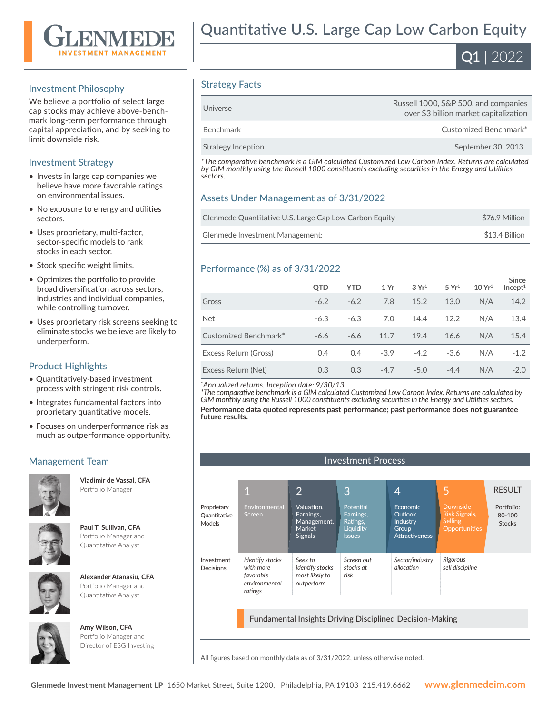

#### Investment Philosophy

We believe a portfolio of select large cap stocks may achieve above-benchmark long-term performance through capital appreciation, and by seeking to limit downside risk.

#### Investment Strategy

- Invests in large cap companies we believe have more favorable ratings on environmental issues.
- No exposure to energy and utilities sectors.
- Uses proprietary, multi-factor, sector-specific models to rank stocks in each sector.
- Stock specific weight limits.
- Optimizes the portfolio to provide broad diversification across sectors, industries and individual companies, while controlling turnover.
- Uses proprietary risk screens seeking to eliminate stocks we believe are likely to underperform.

#### Product Highlights

- Quantitatively-based investment process with stringent risk controls.
- Integrates fundamental factors into proprietary quantitative models.
- Focuses on underperformance risk as much as outperformance opportunity.

## Management Team



**Vladimir de Vassal, CFA**  Portfolio Manager



**Paul T. Sullivan, CFA**  Portfolio Manager and Quantitative Analyst



**Alexander Atanasiu, CFA**  Portfolio Manager and Quantitative Analyst



**Amy Wilson, CFA**  Portfolio Manager and Director of ESG Investing



### Strategy Facts

| Benchmark<br>Strategy Inception | Customized Benchmark*<br>September 30, 2013                                    |
|---------------------------------|--------------------------------------------------------------------------------|
|                                 |                                                                                |
| Universe                        | Russell 1000, S&P 500, and companies<br>over \$3 billion market capitalization |

*\*The comparative benchmark is a GIM calculated Customized Low Carbon Index. Returns are calculated by GIM monthly using the Russell 1000 constituents excluding securities in the Energy and Utilities sectors.*

#### Assets Under Management as of 3/31/2022

| Glenmede Quantitative U.S. Large Cap Low Carbon Equity | \$76.9 Million |
|--------------------------------------------------------|----------------|
| Glenmede Investment Management:                        | \$13.4 Billion |

#### Performance (%) as of 3/31/2022

|                       | QTD    | <b>YTD</b> | 1 Yr   | 3 Yr <sup>1</sup> | 5 Yr <sup>1</sup> | 10 Yr <sup>1</sup> | <b>Since</b><br>Incept <sup>1</sup> |
|-----------------------|--------|------------|--------|-------------------|-------------------|--------------------|-------------------------------------|
| Gross                 | $-6.2$ | $-6.2$     | 7.8    | 15.2              | 13.0              | N/A                | 14.2                                |
| <b>Net</b>            | $-6.3$ | $-6.3$     | 7.0    | 14.4              | 12.2              | N/A                | 13.4                                |
| Customized Benchmark* | $-6.6$ | $-6.6$     | 11.7   | 19.4              | 16.6              | N/A                | 15.4                                |
| Excess Return (Gross) | 0.4    | 0.4        | $-3.9$ | $-4.2$            | $-3.6$            | N/A                | $-1.2$                              |
| Excess Return (Net)   | 0.3    | 0.3        | $-4.7$ | $-5.0$            | $-4.4$            | N/A                | $-2.0$                              |

*<sup>1</sup>Annualized returns. Inception date: 9/30/13.*

*\*The comparative benchmark is a GIM calculated Customized Low Carbon Index. Returns are calculated by GIM monthly using the Russell 1000 constituents excluding securities in the Energy and Utilities sectors.*

**Performance data quoted represents past performance; past performance does not guarantee future results.**

| <b>Investment Process</b>                    |                                                                       |                                                                    |                                                                  |                                                                                  |                                                                            |                                       |
|----------------------------------------------|-----------------------------------------------------------------------|--------------------------------------------------------------------|------------------------------------------------------------------|----------------------------------------------------------------------------------|----------------------------------------------------------------------------|---------------------------------------|
|                                              |                                                                       |                                                                    |                                                                  |                                                                                  |                                                                            |                                       |
|                                              |                                                                       | $\overline{2}$                                                     | 3                                                                | 4                                                                                | 5                                                                          | <b>RESULT</b>                         |
| Proprietary<br>Quantitative<br><b>Models</b> | Environmental<br><b>Screen</b>                                        | Valuation,<br>Earnings,<br>Management,<br>Market<br><b>Signals</b> | Potential<br>Earnings,<br>Ratings,<br>Liquidity<br><b>Issues</b> | <b>Economic</b><br>Outlook.<br><b>Industry</b><br>Group<br><b>Attractiveness</b> | <b>Downside</b><br><b>Risk Signals,</b><br><b>Selling</b><br>Opportunities | Portfolio:<br>80-100<br><b>Stocks</b> |
| Investment<br>Decisions                      | Identify stocks<br>with more<br>favorable<br>environmental<br>ratings | Seek to<br><i>identify stocks</i><br>most likely to<br>outperform  | Screen out<br>stocks at<br>risk                                  | Sector/industry<br>allocation                                                    | Rigorous<br>sell discipline                                                |                                       |

Fundamental Insights Driving Disciplined Decision-Making

All figures based on monthly data as of 3/31/2022, unless otherwise noted.